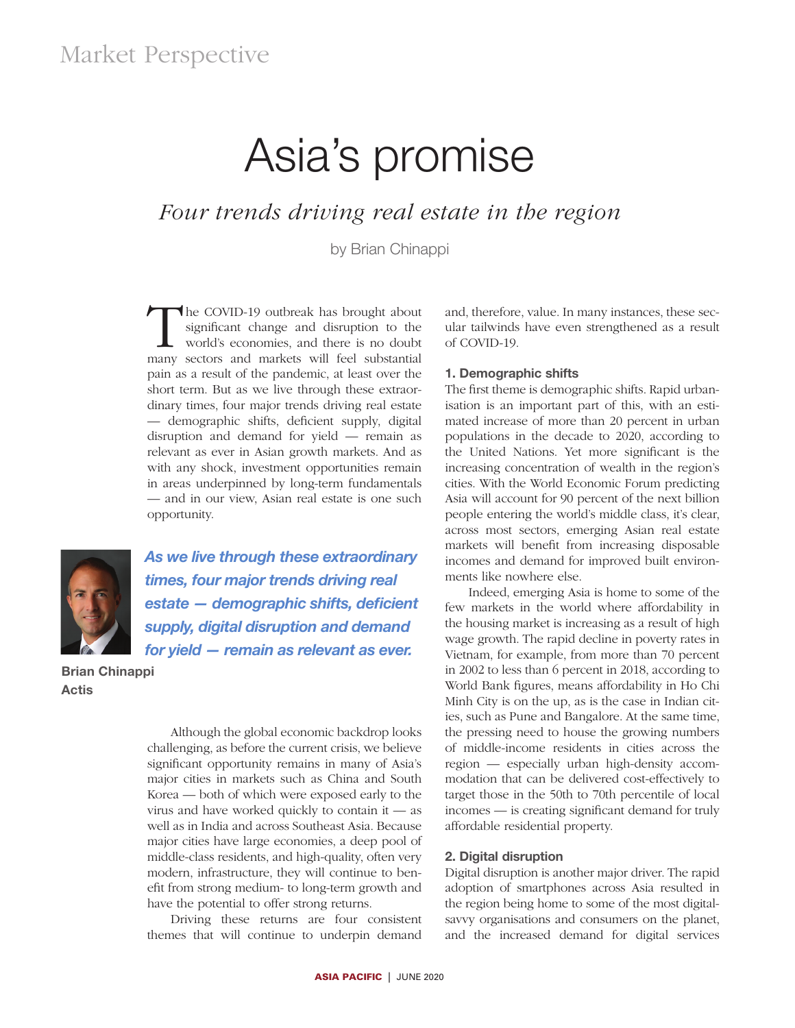# Asia's promise

## *Four trends driving real estate in the region*

by Brian Chinappi

The COVID-19 outbreak has brought about<br>significant change and disruption to the<br>world's economies, and there is no doubt<br>many sectors and markets will feel substantial significant change and disruption to the world's economies, and there is no doubt many sectors and markets will feel substantial pain as a result of the pandemic, at least over the short term. But as we live through these extraordinary times, four major trends driving real estate — demographic shifts, deficient supply, digital disruption and demand for yield — remain as relevant as ever in Asian growth markets. And as with any shock, investment opportunities remain in areas underpinned by long-term fundamentals — and in our view, Asian real estate is one such opportunity.



*As we live through these extraordinary times, four major trends driving real estate — demographic shifts, deficient supply, digital disruption and demand for yield — remain as relevant as ever.*

Brian Chinappi Actis

Although the global economic backdrop looks challenging, as before the current crisis, we believe significant opportunity remains in many of Asia's major cities in markets such as China and South Korea — both of which were exposed early to the virus and have worked quickly to contain it — as well as in India and across Southeast Asia. Because major cities have large economies, a deep pool of middle-class residents, and high-quality, often very modern, infrastructure, they will continue to benefit from strong medium- to long-term growth and have the potential to offer strong returns.

Driving these returns are four consistent themes that will continue to underpin demand and, therefore, value. In many instances, these secular tailwinds have even strengthened as a result of COVID-19.

#### 1. Demographic shifts

The first theme is demographic shifts. Rapid urbanisation is an important part of this, with an estimated increase of more than 20 percent in urban populations in the decade to 2020, according to the United Nations. Yet more significant is the increasing concentration of wealth in the region's cities. With the World Economic Forum predicting Asia will account for 90 percent of the next billion people entering the world's middle class, it's clear, across most sectors, emerging Asian real estate markets will benefit from increasing disposable incomes and demand for improved built environments like nowhere else.

Indeed, emerging Asia is home to some of the few markets in the world where affordability in the housing market is increasing as a result of high wage growth. The rapid decline in poverty rates in Vietnam, for example, from more than 70 percent in 2002 to less than 6 percent in 2018, according to World Bank figures, means affordability in Ho Chi Minh City is on the up, as is the case in Indian cities, such as Pune and Bangalore. At the same time, the pressing need to house the growing numbers of middle-income residents in cities across the region — especially urban high-density accommodation that can be delivered cost-effectively to target those in the 50th to 70th percentile of local incomes — is creating significant demand for truly affordable residential property.

#### 2. Digital disruption

Digital disruption is another major driver. The rapid adoption of smartphones across Asia resulted in the region being home to some of the most digitalsavvy organisations and consumers on the planet, and the increased demand for digital services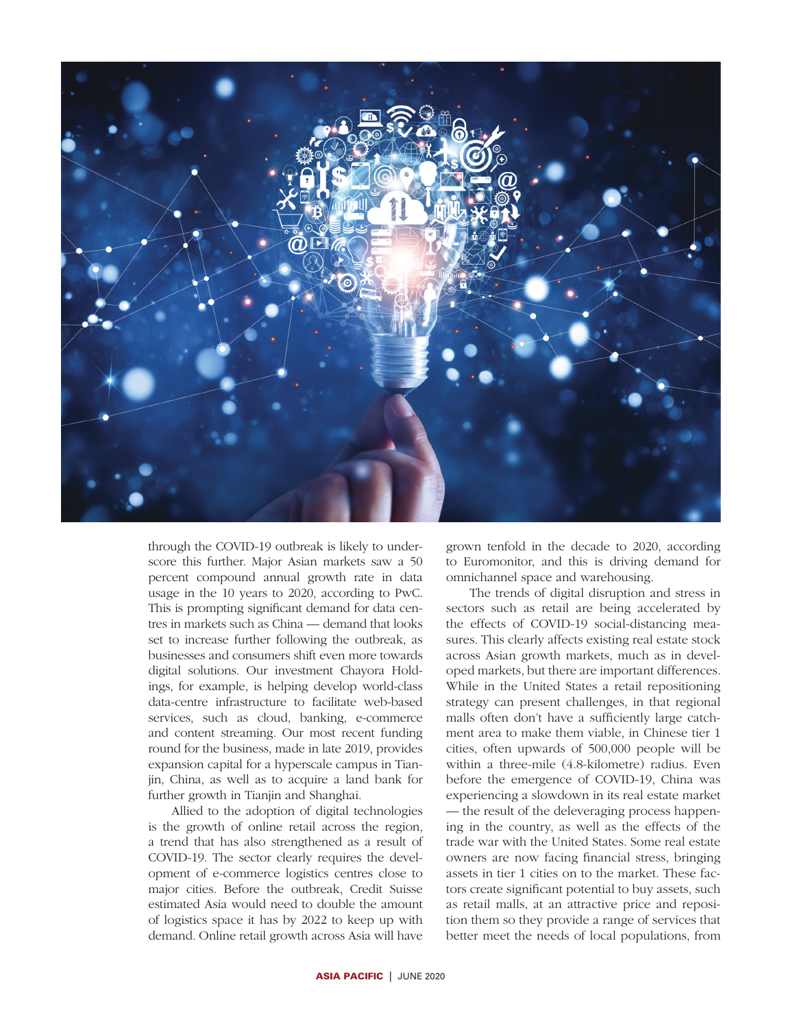

through the COVID-19 outbreak is likely to underscore this further. Major Asian markets saw a 50 percent compound annual growth rate in data usage in the 10 years to 2020, according to PwC. This is prompting significant demand for data centres in markets such as China — demand that looks set to increase further following the outbreak, as businesses and consumers shift even more towards digital solutions. Our investment Chayora Holdings, for example, is helping develop world-class data-centre infrastructure to facilitate web-based services, such as cloud, banking, e-commerce and content streaming. Our most recent funding round for the business, made in late 2019, provides expansion capital for a hyperscale campus in Tianjin, China, as well as to acquire a land bank for further growth in Tianjin and Shanghai.

Allied to the adoption of digital technologies is the growth of online retail across the region, a trend that has also strengthened as a result of COVID-19. The sector clearly requires the development of e-commerce logistics centres close to major cities. Before the outbreak, Credit Suisse estimated Asia would need to double the amount of logistics space it has by 2022 to keep up with demand. Online retail growth across Asia will have

grown tenfold in the decade to 2020, according to Euromonitor, and this is driving demand for omnichannel space and warehousing.

The trends of digital disruption and stress in sectors such as retail are being accelerated by the effects of COVID-19 social-distancing measures. This clearly affects existing real estate stock across Asian growth markets, much as in developed markets, but there are important differences. While in the United States a retail repositioning strategy can present challenges, in that regional malls often don't have a sufficiently large catchment area to make them viable, in Chinese tier 1 cities, often upwards of 500,000 people will be within a three-mile (4.8-kilometre) radius. Even before the emergence of COVID-19, China was experiencing a slowdown in its real estate market — the result of the deleveraging process happening in the country, as well as the effects of the trade war with the United States. Some real estate owners are now facing financial stress, bringing assets in tier 1 cities on to the market. These factors create significant potential to buy assets, such as retail malls, at an attractive price and reposition them so they provide a range of services that better meet the needs of local populations, from